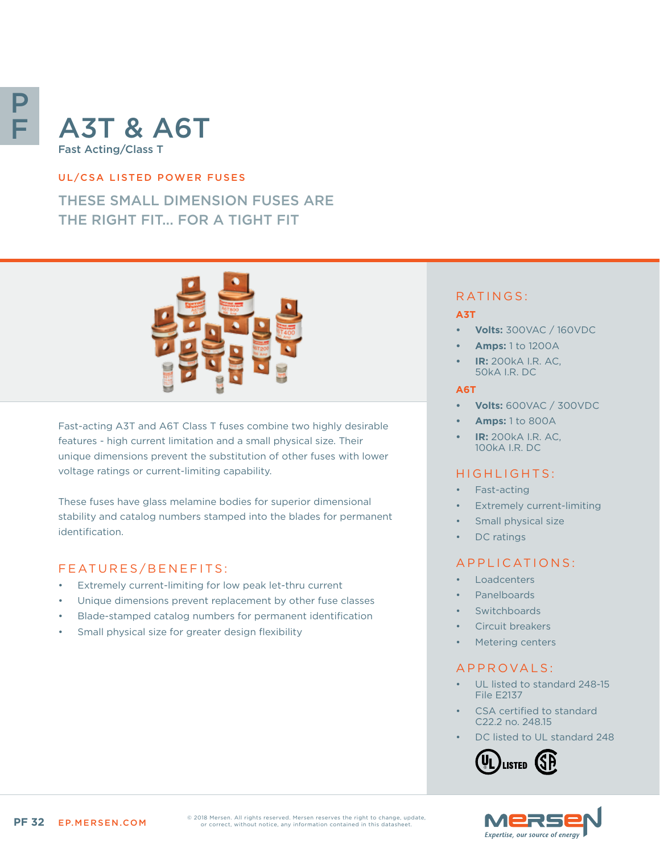# P F

# A3T & A6T Fast Acting/Class T

### UL/CSA LISTED POWER FUSES

# THESE SMALL DIMENSION FUSES ARE THE RIGHT FIT... FOR A TIGHT FIT



Fast-acting A3T and A6T Class T fuses combine two highly desirable features - high current limitation and a small physical size. Their unique dimensions prevent the substitution of other fuses with lower voltage ratings or current-limiting capability.

These fuses have glass melamine bodies for superior dimensional stability and catalog numbers stamped into the blades for permanent identification.

# FEATURES/BENEFITS:

- Extremely current-limiting for low peak let-thru current
- Unique dimensions prevent replacement by other fuse classes
- Blade-stamped catalog numbers for permanent identification
- Small physical size for greater design flexibility

# RATINGS:

#### **A3T**

- **• Volts:** 300VAC / 160VDC
- **• Amps:** 1 to 1200A
- **• IR:** 200kA I.R. AC, 50kA I.R. DC

#### **A6T**

- **• Volts:** 600VAC / 300VDC
- **• Amps:** 1 to 800A
- **• IR:** 200kA I.R. AC, 100kA I.R. DC

# HIGHLIGHTS:

- Fast-acting
- **Extremely current-limiting**
- Small physical size
- DC ratings

# APPLICATIONS:

- **Loadcenters**
- Panelboards
- **Switchboards**
- Circuit breakers
- Metering centers

# A P P R OVA L S :

- UL listed to standard 248-15 File E2137
- CSA certified to standard C22.2 no. 248.15
- DC listed to UL standard 248





© 2018 Mersen. All rights reserved. Mersen reserves the right to change, update, or correct, without notice, any information contained in this datasheet.